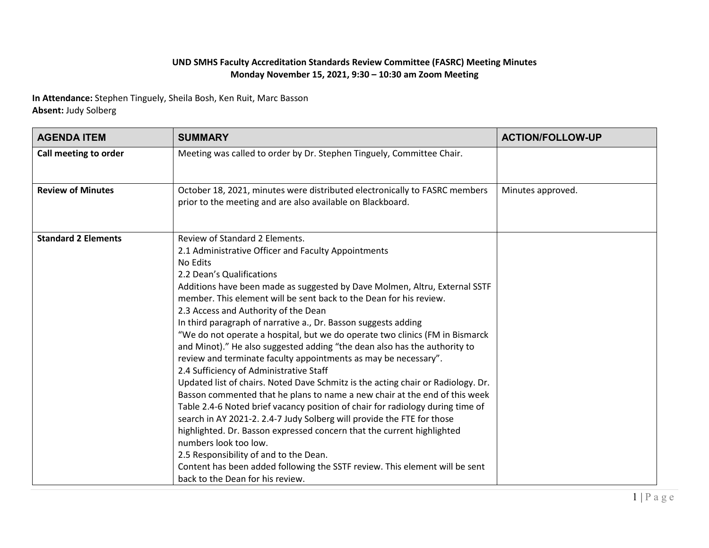## **UND SMHS Faculty Accreditation Standards Review Committee (FASRC) Meeting Minutes Monday November 15, 2021, 9:30 – 10:30 am Zoom Meeting**

**In Attendance:** Stephen Tinguely, Sheila Bosh, Ken Ruit, Marc Basson **Absent:** Judy Solberg

| <b>AGENDA ITEM</b>         | <b>SUMMARY</b>                                                                                                                                                                                                                                                                                                                                                                                                                                                                                                                                                                                                                                                                                                                                                                                                                                                                                                                                                                                                                                                                                                                                                                                                                                                        | <b>ACTION/FOLLOW-UP</b> |
|----------------------------|-----------------------------------------------------------------------------------------------------------------------------------------------------------------------------------------------------------------------------------------------------------------------------------------------------------------------------------------------------------------------------------------------------------------------------------------------------------------------------------------------------------------------------------------------------------------------------------------------------------------------------------------------------------------------------------------------------------------------------------------------------------------------------------------------------------------------------------------------------------------------------------------------------------------------------------------------------------------------------------------------------------------------------------------------------------------------------------------------------------------------------------------------------------------------------------------------------------------------------------------------------------------------|-------------------------|
| Call meeting to order      | Meeting was called to order by Dr. Stephen Tinguely, Committee Chair.                                                                                                                                                                                                                                                                                                                                                                                                                                                                                                                                                                                                                                                                                                                                                                                                                                                                                                                                                                                                                                                                                                                                                                                                 |                         |
| <b>Review of Minutes</b>   | October 18, 2021, minutes were distributed electronically to FASRC members<br>prior to the meeting and are also available on Blackboard.                                                                                                                                                                                                                                                                                                                                                                                                                                                                                                                                                                                                                                                                                                                                                                                                                                                                                                                                                                                                                                                                                                                              | Minutes approved.       |
| <b>Standard 2 Elements</b> | Review of Standard 2 Elements.<br>2.1 Administrative Officer and Faculty Appointments<br>No Edits<br>2.2 Dean's Qualifications<br>Additions have been made as suggested by Dave Molmen, Altru, External SSTF<br>member. This element will be sent back to the Dean for his review.<br>2.3 Access and Authority of the Dean<br>In third paragraph of narrative a., Dr. Basson suggests adding<br>"We do not operate a hospital, but we do operate two clinics (FM in Bismarck<br>and Minot)." He also suggested adding "the dean also has the authority to<br>review and terminate faculty appointments as may be necessary".<br>2.4 Sufficiency of Administrative Staff<br>Updated list of chairs. Noted Dave Schmitz is the acting chair or Radiology. Dr.<br>Basson commented that he plans to name a new chair at the end of this week<br>Table 2.4-6 Noted brief vacancy position of chair for radiology during time of<br>search in AY 2021-2. 2.4-7 Judy Solberg will provide the FTE for those<br>highlighted. Dr. Basson expressed concern that the current highlighted<br>numbers look too low.<br>2.5 Responsibility of and to the Dean.<br>Content has been added following the SSTF review. This element will be sent<br>back to the Dean for his review. |                         |